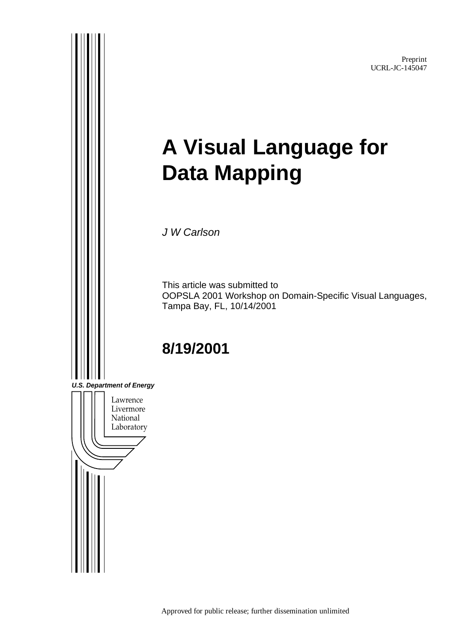Preprint UCRL-JC-145047

# **A Visual Language for Data Mapping**

J W Carlson

This article was submitted to OOPSLA 2001 Workshop on Domain-Specific Visual Languages, Tampa Bay, FL, 10/14/2001

# **8/19/2001**

**U.S. Department of Energy**

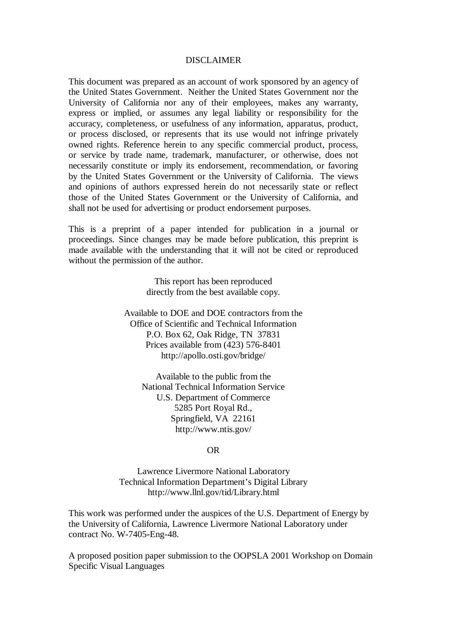#### DISCLAIMER

This document was prepared as an account of work sponsored by an agency of the United States Government. Neither the United States Government nor the University of California nor any of their employees, makes any warranty, express or implied, or assumes any legal liability or responsibility for the accuracy, completeness, or usefulness of any information, apparatus, product, or process disclosed, or represents that its use would not infringe privately owned rights. Reference herein to any specific commercial product, process, or service by trade name, trademark, manufacturer, or otherwise, does not necessarily constitute or imply its endorsement, recommendation, or favoring by the United States Government or the University of California. The views and opinions of authors expressed herein do not necessarily state or reflect those of the United States Government or the University of California, and shall not be used for advertising or product endorsement purposes.

This is a preprint of a paper intended for publication in a journal or proceedings. Since changes may be made before publication, this preprint is made available with the understanding that it will not be cited or reproduced without the permission of the author.

> This report has been reproduced directly from the best available copy.

Available to DOE and DOE contractors from the Office of Scientific and Technical Information P.O. Box 62, Oak Ridge, TN 37831 Prices available from (423) 576-8401 http://apollo.osti.gov/bridge/

> Available to the public from the National Technical Information Service U.S. Department of Commerce 5285 Port Royal Rd., Springfield, VA 22161 http://www.ntis.gov/

#### OR

Lawrence Livermore National Laboratory Technical Information Department's Digital Library http://www.llnl.gov/tid/Library.html

This work was performed under the auspices of the U.S. Department of Energy by the University of California, Lawrence Livermore National Laboratory under contract No. W-7405-Eng-48.

A proposed position paper submission to the OOPSLA 2001 Workshop on Domain Specific Visual Languages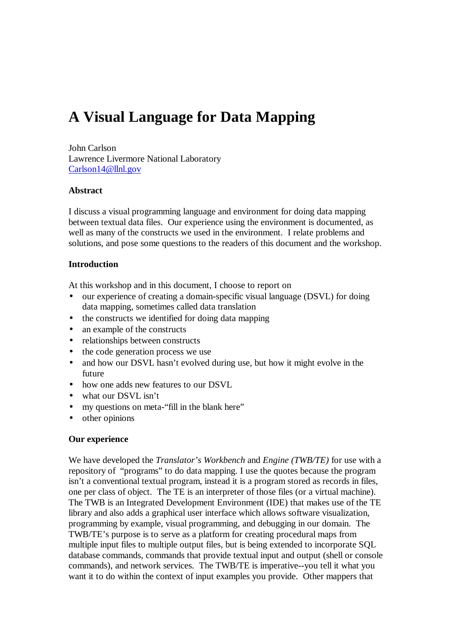# **A Visual Language for Data Mapping**

John Carlson Lawrence Livermore National Laboratory Carlson14@llnl.gov

#### **Abstract**

I discuss a visual programming language and environment for doing data mapping between textual data files. Our experience using the environment is documented, as well as many of the constructs we used in the environment. I relate problems and solutions, and pose some questions to the readers of this document and the workshop.

#### **Introduction**

At this workshop and in this document, I choose to report on

- our experience of creating a domain-specific visual language (DSVL) for doing data mapping, sometimes called data translation
- the constructs we identified for doing data mapping
- an example of the constructs
- relationships between constructs
- the code generation process we use
- and how our DSVL hasn't evolved during use, but how it might evolve in the future
- how one adds new features to our DSVL
- what our DSVL isn't
- my questions on meta-"fill in the blank here"
- other opinions

#### **Our experience**

We have developed the *Translator's Workbench* and *Engine (TWB/TE)* for use with a repository of "programs" to do data mapping*.* I use the quotes because the program isn't a conventional textual program, instead it is a program stored as records in files, one per class of object. The TE is an interpreter of those files (or a virtual machine). The TWB is an Integrated Development Environment (IDE) that makes use of the TE library and also adds a graphical user interface which allows software visualization, programming by example, visual programming, and debugging in our domain. The TWB/TE's purpose is to serve as a platform for creating procedural maps from multiple input files to multiple output files, but is being extended to incorporate SQL database commands, commands that provide textual input and output (shell or console commands), and network services. The TWB/TE is imperative--you tell it what you want it to do within the context of input examples you provide. Other mappers that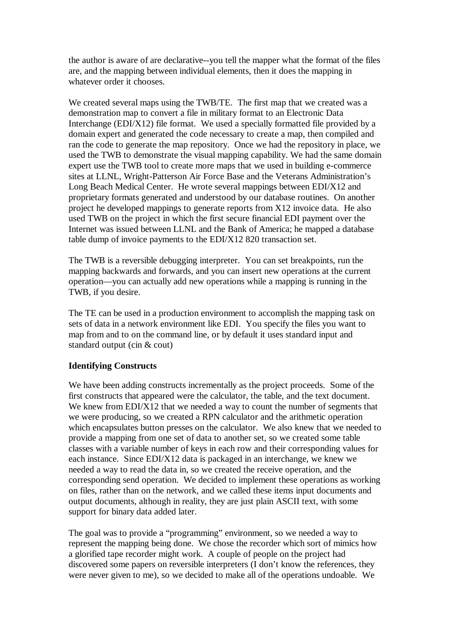the author is aware of are declarative--you tell the mapper what the format of the files are, and the mapping between individual elements, then it does the mapping in whatever order it chooses.

We created several maps using the TWB/TE. The first map that we created was a demonstration map to convert a file in military format to an Electronic Data Interchange (EDI/X12) file format. We used a specially formatted file provided by a domain expert and generated the code necessary to create a map, then compiled and ran the code to generate the map repository. Once we had the repository in place, we used the TWB to demonstrate the visual mapping capability. We had the same domain expert use the TWB tool to create more maps that we used in building e-commerce sites at LLNL, Wright-Patterson Air Force Base and the Veterans Administration's Long Beach Medical Center. He wrote several mappings between EDI/X12 and proprietary formats generated and understood by our database routines. On another project he developed mappings to generate reports from X12 invoice data. He also used TWB on the project in which the first secure financial EDI payment over the Internet was issued between LLNL and the Bank of America; he mapped a database table dump of invoice payments to the EDI/X12 820 transaction set.

The TWB is a reversible debugging interpreter. You can set breakpoints, run the mapping backwards and forwards, and you can insert new operations at the current operation—you can actually add new operations while a mapping is running in the TWB, if you desire.

The TE can be used in a production environment to accomplish the mapping task on sets of data in a network environment like EDI. You specify the files you want to map from and to on the command line, or by default it uses standard input and standard output (cin & cout)

#### **Identifying Constructs**

We have been adding constructs incrementally as the project proceeds. Some of the first constructs that appeared were the calculator, the table, and the text document. We knew from EDI/X12 that we needed a way to count the number of segments that we were producing, so we created a RPN calculator and the arithmetic operation which encapsulates button presses on the calculator. We also knew that we needed to provide a mapping from one set of data to another set, so we created some table classes with a variable number of keys in each row and their corresponding values for each instance. Since EDI/X12 data is packaged in an interchange, we knew we needed a way to read the data in, so we created the receive operation, and the corresponding send operation. We decided to implement these operations as working on files, rather than on the network, and we called these items input documents and output documents, although in reality, they are just plain ASCII text, with some support for binary data added later.

The goal was to provide a "programming" environment, so we needed a way to represent the mapping being done. We chose the recorder which sort of mimics how a glorified tape recorder might work. A couple of people on the project had discovered some papers on reversible interpreters (I don't know the references, they were never given to me), so we decided to make all of the operations undoable. We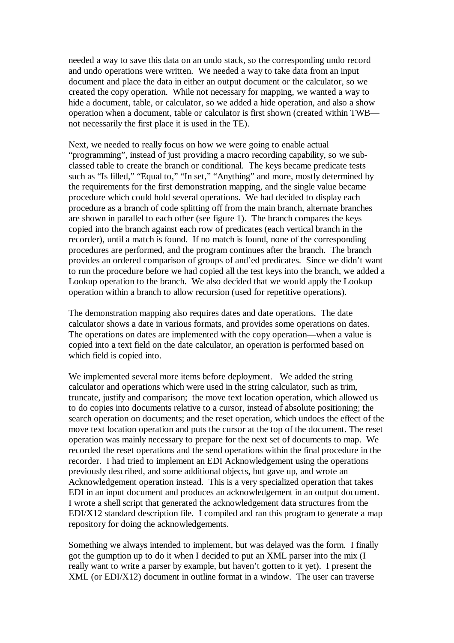needed a way to save this data on an undo stack, so the corresponding undo record and undo operations were written. We needed a way to take data from an input document and place the data in either an output document or the calculator, so we created the copy operation. While not necessary for mapping, we wanted a way to hide a document, table, or calculator, so we added a hide operation, and also a show operation when a document, table or calculator is first shown (created within TWB not necessarily the first place it is used in the TE).

Next, we needed to really focus on how we were going to enable actual "programming", instead of just providing a macro recording capability, so we subclassed table to create the branch or conditional. The keys became predicate tests such as "Is filled," "Equal to," "In set," "Anything" and more, mostly determined by the requirements for the first demonstration mapping, and the single value became procedure which could hold several operations. We had decided to display each procedure as a branch of code splitting off from the main branch, alternate branches are shown in parallel to each other (see figure 1). The branch compares the keys copied into the branch against each row of predicates (each vertical branch in the recorder), until a match is found. If no match is found, none of the corresponding procedures are performed, and the program continues after the branch. The branch provides an ordered comparison of groups of and'ed predicates. Since we didn't want to run the procedure before we had copied all the test keys into the branch, we added a Lookup operation to the branch. We also decided that we would apply the Lookup operation within a branch to allow recursion (used for repetitive operations).

The demonstration mapping also requires dates and date operations. The date calculator shows a date in various formats, and provides some operations on dates. The operations on dates are implemented with the copy operation—when a value is copied into a text field on the date calculator, an operation is performed based on which field is copied into.

We implemented several more items before deployment. We added the string calculator and operations which were used in the string calculator, such as trim, truncate, justify and comparison; the move text location operation, which allowed us to do copies into documents relative to a cursor, instead of absolute positioning; the search operation on documents; and the reset operation, which undoes the effect of the move text location operation and puts the cursor at the top of the document. The reset operation was mainly necessary to prepare for the next set of documents to map. We recorded the reset operations and the send operations within the final procedure in the recorder. I had tried to implement an EDI Acknowledgement using the operations previously described, and some additional objects, but gave up, and wrote an Acknowledgement operation instead. This is a very specialized operation that takes EDI in an input document and produces an acknowledgement in an output document. I wrote a shell script that generated the acknowledgement data structures from the EDI/X12 standard description file. I compiled and ran this program to generate a map repository for doing the acknowledgements.

Something we always intended to implement, but was delayed was the form. I finally got the gumption up to do it when I decided to put an XML parser into the mix (I really want to write a parser by example, but haven't gotten to it yet). I present the XML (or EDI/X12) document in outline format in a window. The user can traverse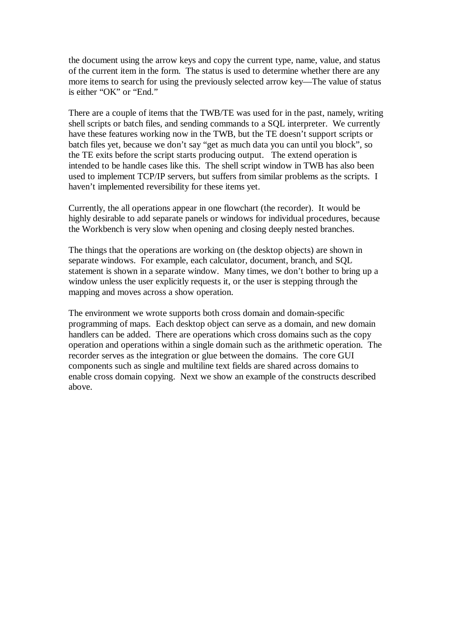the document using the arrow keys and copy the current type, name, value, and status of the current item in the form. The status is used to determine whether there are any more items to search for using the previously selected arrow key—The value of status is either "OK" or "End."

There are a couple of items that the TWB/TE was used for in the past, namely, writing shell scripts or batch files, and sending commands to a SQL interpreter. We currently have these features working now in the TWB, but the TE doesn't support scripts or batch files yet, because we don't say "get as much data you can until you block", so the TE exits before the script starts producing output. The extend operation is intended to be handle cases like this. The shell script window in TWB has also been used to implement TCP/IP servers, but suffers from similar problems as the scripts. I haven't implemented reversibility for these items yet.

Currently, the all operations appear in one flowchart (the recorder). It would be highly desirable to add separate panels or windows for individual procedures, because the Workbench is very slow when opening and closing deeply nested branches.

The things that the operations are working on (the desktop objects) are shown in separate windows. For example, each calculator, document, branch, and SQL statement is shown in a separate window. Many times, we don't bother to bring up a window unless the user explicitly requests it, or the user is stepping through the mapping and moves across a show operation.

The environment we wrote supports both cross domain and domain-specific programming of maps. Each desktop object can serve as a domain, and new domain handlers can be added. There are operations which cross domains such as the copy operation and operations within a single domain such as the arithmetic operation. The recorder serves as the integration or glue between the domains. The core GUI components such as single and multiline text fields are shared across domains to enable cross domain copying. Next we show an example of the constructs described above.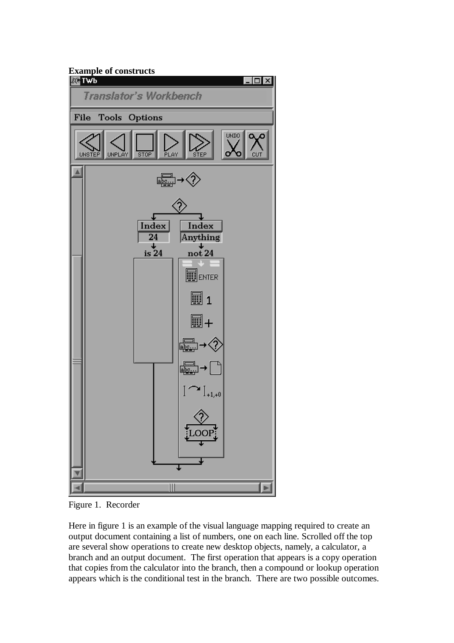

Figure 1. Recorder

Here in figure 1 is an example of the visual language mapping required to create an output document containing a list of numbers, one on each line. Scrolled off the top are several show operations to create new desktop objects, namely, a calculator, a branch and an output document. The first operation that appears is a copy operation that copies from the calculator into the branch, then a compound or lookup operation appears which is the conditional test in the branch. There are two possible outcomes.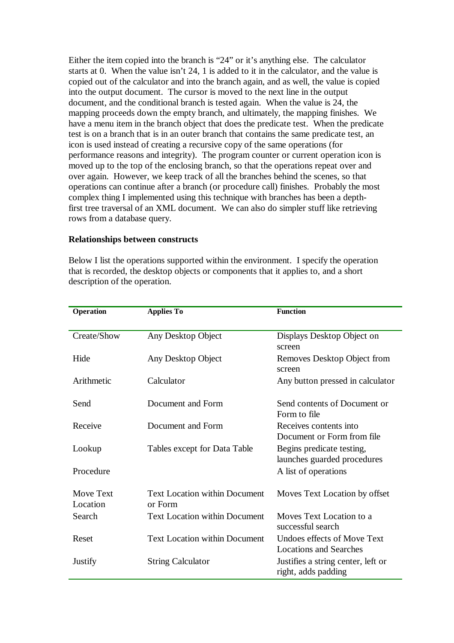Either the item copied into the branch is "24" or it's anything else. The calculator starts at 0. When the value isn't 24, 1 is added to it in the calculator, and the value is copied out of the calculator and into the branch again, and as well, the value is copied into the output document. The cursor is moved to the next line in the output document, and the conditional branch is tested again. When the value is 24, the mapping proceeds down the empty branch, and ultimately, the mapping finishes. We have a menu item in the branch object that does the predicate test. When the predicate test is on a branch that is in an outer branch that contains the same predicate test, an icon is used instead of creating a recursive copy of the same operations (for performance reasons and integrity). The program counter or current operation icon is moved up to the top of the enclosing branch, so that the operations repeat over and over again. However, we keep track of all the branches behind the scenes, so that operations can continue after a branch (or procedure call) finishes. Probably the most complex thing I implemented using this technique with branches has been a depthfirst tree traversal of an XML document. We can also do simpler stuff like retrieving rows from a database query.

#### **Relationships between constructs**

Below I list the operations supported within the environment. I specify the operation that is recorded, the desktop objects or components that it applies to, and a short description of the operation.

| Operation   | <b>Applies To</b>                    | <b>Function</b>                                           |
|-------------|--------------------------------------|-----------------------------------------------------------|
|             |                                      |                                                           |
| Create/Show | Any Desktop Object                   | Displays Desktop Object on                                |
|             |                                      | screen                                                    |
| Hide        | Any Desktop Object                   | Removes Desktop Object from                               |
|             |                                      | screen                                                    |
| Arithmetic  | Calculator                           | Any button pressed in calculator                          |
|             |                                      |                                                           |
| Send        | Document and Form                    | Send contents of Document or                              |
|             |                                      | Form to file                                              |
| Receive     | Document and Form                    | Receives contents into                                    |
|             |                                      | Document or Form from file                                |
| Lookup      | Tables except for Data Table         | Begins predicate testing,                                 |
|             |                                      | launches guarded procedures                               |
| Procedure   |                                      | A list of operations                                      |
| Move Text   | <b>Text Location within Document</b> | Moves Text Location by offset                             |
| Location    | or Form                              |                                                           |
| Search      | <b>Text Location within Document</b> | Moves Text Location to a                                  |
|             |                                      | successful search                                         |
| Reset       | <b>Text Location within Document</b> | Undoes effects of Move Text                               |
|             |                                      | <b>Locations and Searches</b>                             |
| Justify     | <b>String Calculator</b>             | Justifies a string center, left or<br>right, adds padding |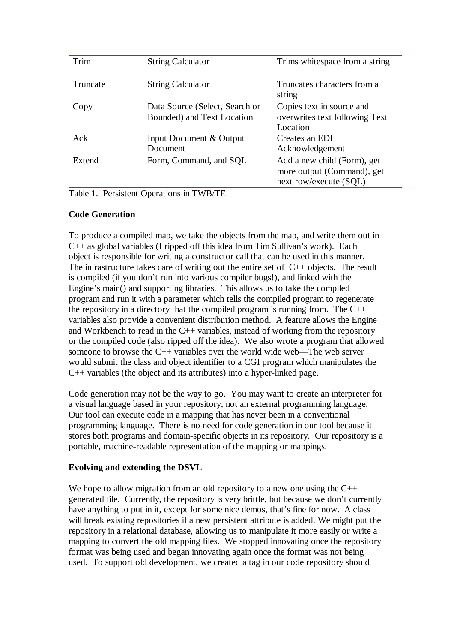| Trim     | <b>String Calculator</b>                                     | Trims white space from a string                                                     |
|----------|--------------------------------------------------------------|-------------------------------------------------------------------------------------|
| Truncate | <b>String Calculator</b>                                     | Truncates characters from a<br>string                                               |
| Copy     | Data Source (Select, Search or<br>Bounded) and Text Location | Copies text in source and<br>overwrites text following Text<br>Location             |
| Ack      | Input Document & Output<br>Document                          | Creates an EDI<br>Acknowledgement                                                   |
| Extend   | Form, Command, and SQL                                       | Add a new child (Form), get<br>more output (Command), get<br>next row/execute (SQL) |

Table 1. Persistent Operations in TWB/TE

## **Code Generation**

To produce a compiled map, we take the objects from the map, and write them out in C++ as global variables (I ripped off this idea from Tim Sullivan's work). Each object is responsible for writing a constructor call that can be used in this manner. The infrastructure takes care of writing out the entire set of  $C_{++}$  objects. The result is compiled (if you don't run into various compiler bugs!), and linked with the Engine's main() and supporting libraries. This allows us to take the compiled program and run it with a parameter which tells the compiled program to regenerate the repository in a directory that the compiled program is running from. The  $C++$ variables also provide a convenient distribution method. A feature allows the Engine and Workbench to read in the C++ variables, instead of working from the repository or the compiled code (also ripped off the idea). We also wrote a program that allowed someone to browse the C++ variables over the world wide web—The web server would submit the class and object identifier to a CGI program which manipulates the C++ variables (the object and its attributes) into a hyper-linked page.

Code generation may not be the way to go. You may want to create an interpreter for a visual language based in your repository, not an external programming language. Our tool can execute code in a mapping that has never been in a conventional programming language. There is no need for code generation in our tool because it stores both programs and domain-specific objects in its repository. Our repository is a portable, machine-readable representation of the mapping or mappings.

## **Evolving and extending the DSVL**

We hope to allow migration from an old repository to a new one using the C++ generated file. Currently, the repository is very brittle, but because we don't currently have anything to put in it, except for some nice demos, that's fine for now. A class will break existing repositories if a new persistent attribute is added. We might put the repository in a relational database, allowing us to manipulate it more easily or write a mapping to convert the old mapping files. We stopped innovating once the repository format was being used and began innovating again once the format was not being used. To support old development, we created a tag in our code repository should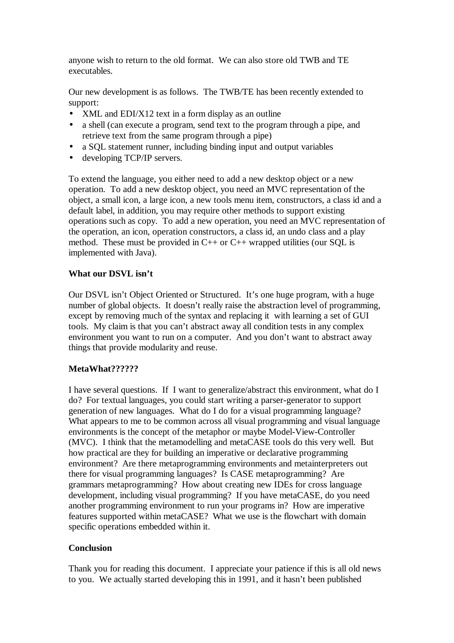anyone wish to return to the old format. We can also store old TWB and TE executables.

Our new development is as follows. The TWB/TE has been recently extended to support:

- XML and EDI/X12 text in a form display as an outline
- a shell (can execute a program, send text to the program through a pipe, and retrieve text from the same program through a pipe)
- a SOL statement runner, including binding input and output variables
- developing TCP/IP servers.

To extend the language, you either need to add a new desktop object or a new operation. To add a new desktop object, you need an MVC representation of the object, a small icon, a large icon, a new tools menu item, constructors, a class id and a default label, in addition, you may require other methods to support existing operations such as copy. To add a new operation, you need an MVC representation of the operation, an icon, operation constructors, a class id, an undo class and a play method. These must be provided in  $C_{++}$  or  $C_{++}$  wrapped utilities (our SQL is implemented with Java).

# **What our DSVL isn't**

Our DSVL isn't Object Oriented or Structured. It's one huge program, with a huge number of global objects. It doesn't really raise the abstraction level of programming, except by removing much of the syntax and replacing it with learning a set of GUI tools. My claim is that you can't abstract away all condition tests in any complex environment you want to run on a computer. And you don't want to abstract away things that provide modularity and reuse.

# **MetaWhat??????**

I have several questions. If I want to generalize/abstract this environment, what do I do? For textual languages, you could start writing a parser-generator to support generation of new languages. What do I do for a visual programming language? What appears to me to be common across all visual programming and visual language environments is the concept of the metaphor or maybe Model-View-Controller (MVC). I think that the metamodelling and metaCASE tools do this very well. But how practical are they for building an imperative or declarative programming environment? Are there metaprogramming environments and metainterpreters out there for visual programming languages? Is CASE metaprogramming? Are grammars metaprogramming? How about creating new IDEs for cross language development, including visual programming? If you have metaCASE, do you need another programming environment to run your programs in? How are imperative features supported within metaCASE? What we use is the flowchart with domain specific operations embedded within it.

## **Conclusion**

Thank you for reading this document. I appreciate your patience if this is all old news to you. We actually started developing this in 1991, and it hasn't been published